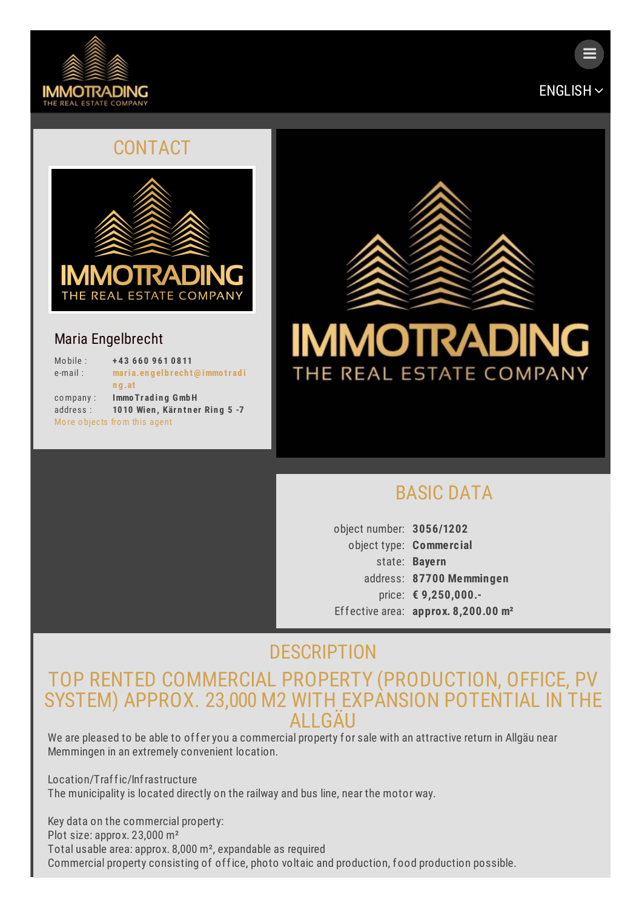



 $\equiv$ 

#### CONTACT



#### Maria Engelbrecht

| Mobile:                                | +43 660 961 0811              |
|----------------------------------------|-------------------------------|
| $e$ -mail:                             | maria.engelbrecht@immotradi   |
|                                        | ng.at                         |
| $\mathop{\mathrm{co}}\nolimits$ mpany: | Immo Trading GmbH             |
| address:                               | 1010 Wien, Kärntner Ring 5 -7 |
|                                        | More objects from this agent  |



## [BASIC](#page-0-0) DATA

<span id="page-0-0"></span>object number: **3056/1202** object type: **Commerc ial** state: **Bayern** address: **87700 Memmingen** price: **€ 9,250,000.-** Effective area: **approx. 8,200.00 m²**

# **[DESCRIPTION](#page-1-0)**

### TOP RENTED COMMERCIAL PROPERTY (PRODUCTION, OFFICE, PV SYSTEM) APPROX. 23,000 M2 WITH EXPANSION POTENTIAL IN THE **ALLGAU**

We are pleased to be able to offer you a commercial property for sale with an attractive return in Allgäu near Memmingen in an extremely convenient location.

Location/Traffic/Infrastructure The municipality is located directly on the railway and bus line, near the motor way.

Key data on the commercial property: Plot size: approx. 23,000 m² Total usable area: approx. 8,000 m², expandable as required Commercial property consisting of office, photo voltaic and production, food production possible.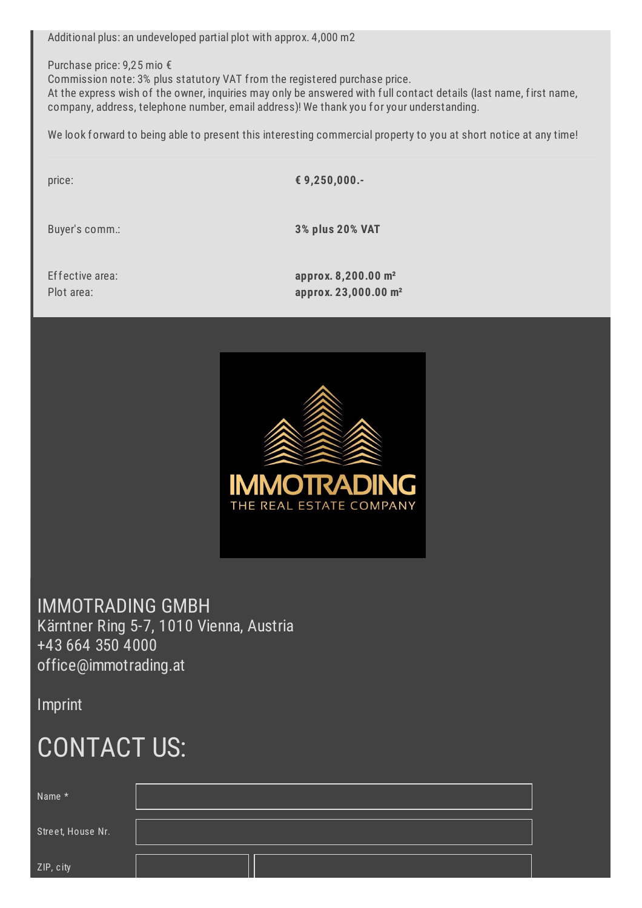<span id="page-1-0"></span>Additional plus: an undeveloped partial plot with approx. 4,000 m2

Purchase price: 9,25 mio €

Commission note: 3% plus statutory VAT from the registered purchase price.

At the express wish of the owner, inquiries may only be answered with full contact details (last name, first name, company, address, telephone number, email address)! We thank you for your understanding.

We look forward to being able to present this interesting commercial property to you at short notice at any time!

price: **€ 9,250,000.-**

Buyer's comm.: **3% plus 20% VAT**

Effective area: **approx. 8,200.00 m²** Plot area: **approx. 23,000.00 m²**



IMMOTRADING GMBH Kärntner Ring 5-7, 1010 Vienna, Austria +43 664 350 4000 [office@immotrading.at](mailto:office@immotrading.at)

[Imprint](/en/3691891/Imprint)

# CONTACT US:

| Name *            |  |
|-------------------|--|
| Street, House Nr. |  |
| ZIP, city         |  |